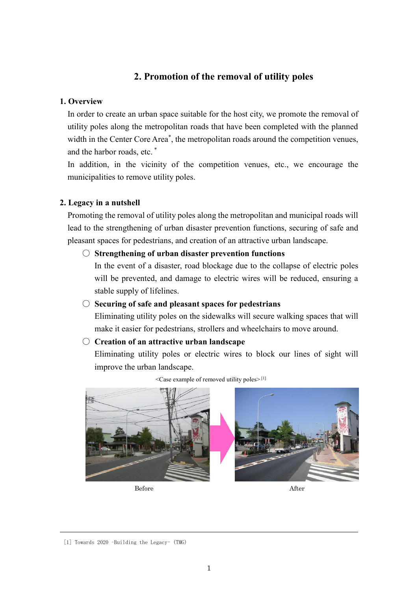# **2. Promotion of the removal of utility poles**

### **1. Overview**

In order to create an urban space suitable for the host city, we promote the removal of utility poles along the metropolitan roads that have been completed with the planned width in the Center Core Area<sup>\*</sup>, the metropolitan roads around the competition venues, and the harbor roads, etc. \*

In addition, in the vicinity of the competition venues, etc., we encourage the municipalities to remove utility poles.

# **2. Legacy in a nutshell**

Promoting the removal of utility poles along the metropolitan and municipal roads will lead to the strengthening of urban disaster prevention functions, securing of safe and pleasant spaces for pedestrians, and creation of an attractive urban landscape.

### ○ **Strengthening of urban disaster prevention functions**

In the event of a disaster, road blockage due to the collapse of electric poles will be prevented, and damage to electric wires will be reduced, ensuring a stable supply of lifelines.

# ○ **Securing of safe and pleasant spaces for pedestrians**

Eliminating utility poles on the sidewalks will secure walking spaces that will make it easier for pedestrians, strollers and wheelchairs to move around.

# ○ **Creation of an attractive urban landscape**

Eliminating utility poles or electric wires to block our lines of sight will improve the urban landscape.



<Case example of removed utility poles> [1]

Before After

<sup>[1]</sup> Towards 2020 –Building the Legacy- (TMG)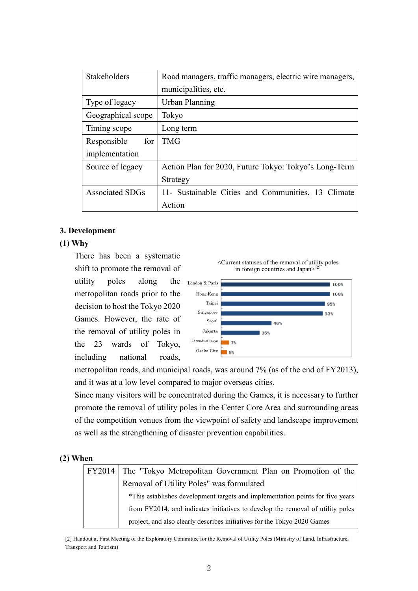| <b>Stakeholders</b>    | Road managers, traffic managers, electric wire managers, |
|------------------------|----------------------------------------------------------|
|                        | municipalities, etc.                                     |
| Type of legacy         | Urban Planning                                           |
| Geographical scope     | Tokyo                                                    |
| Timing scope           | Long term                                                |
| for<br>Responsible     | <b>TMG</b>                                               |
| implementation         |                                                          |
| Source of legacy       | Action Plan for 2020, Future Tokyo: Tokyo's Long-Term    |
|                        | Strategy                                                 |
| <b>Associated SDGs</b> | 11- Sustainable Cities and Communities, 13 Climate       |
|                        | Action                                                   |

### **3. Development**

### **(1) Why**

There has been a systematic shift to promote the removal of utility poles along the metropolitan roads prior to the decision to host the Tokyo 2020 Games. However, the rate of the removal of utility poles in the 23 wards of Tokyo, including national roads,





metropolitan roads, and municipal roads, was around 7% (as of the end of FY2013), and it was at a low level compared to major overseas cities.

Since many visitors will be concentrated during the Games, it is necessary to further promote the removal of utility poles in the Center Core Area and surrounding areas of the competition venues from the viewpoint of safety and landscape improvement as well as the strengthening of disaster prevention capabilities.

#### **(2) When**

| FY2014 The "Tokyo Metropolitan Government Plan on Promotion of the             |
|--------------------------------------------------------------------------------|
| Removal of Utility Poles" was formulated                                       |
| *This establishes development targets and implementation points for five years |
| from FY2014, and indicates initiatives to develop the removal of utility poles |
| project, and also clearly describes initiatives for the Tokyo 2020 Games       |

[2] Handout at First Meeting of the Exploratory Committee for the Removal of Utility Poles (Ministry of Land, Infrastructure, Transport and Tourism)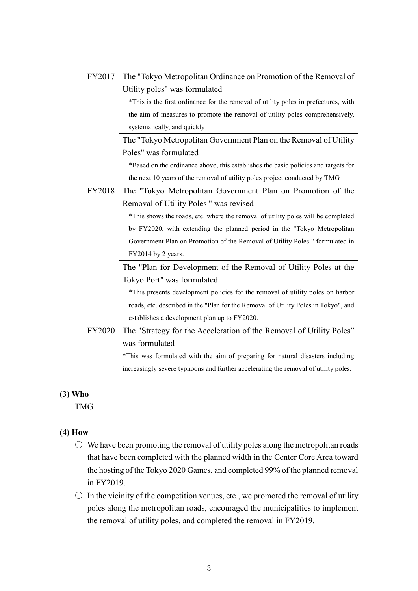| FY2017        | The "Tokyo Metropolitan Ordinance on Promotion of the Removal of                    |  |
|---------------|-------------------------------------------------------------------------------------|--|
|               | Utility poles" was formulated                                                       |  |
|               | *This is the first ordinance for the removal of utility poles in prefectures, with  |  |
|               | the aim of measures to promote the removal of utility poles comprehensively,        |  |
|               | systematically, and quickly                                                         |  |
|               | The "Tokyo Metropolitan Government Plan on the Removal of Utility                   |  |
|               | Poles" was formulated                                                               |  |
|               | *Based on the ordinance above, this establishes the basic policies and targets for  |  |
|               | the next 10 years of the removal of utility poles project conducted by TMG          |  |
| FY2018        | The "Tokyo Metropolitan Government Plan on Promotion of the                         |  |
|               | Removal of Utility Poles " was revised                                              |  |
|               | *This shows the roads, etc. where the removal of utility poles will be completed    |  |
|               | by FY2020, with extending the planned period in the "Tokyo Metropolitan             |  |
|               | Government Plan on Promotion of the Removal of Utility Poles "formulated in         |  |
|               | FY2014 by 2 years.                                                                  |  |
|               | The "Plan for Development of the Removal of Utility Poles at the                    |  |
|               | Tokyo Port" was formulated                                                          |  |
|               | *This presents development policies for the removal of utility poles on harbor      |  |
|               | roads, etc. described in the "Plan for the Removal of Utility Poles in Tokyo", and  |  |
|               | establishes a development plan up to FY2020.                                        |  |
| <b>FY2020</b> | The "Strategy for the Acceleration of the Removal of Utility Poles"                 |  |
|               | was formulated                                                                      |  |
|               | *This was formulated with the aim of preparing for natural disasters including      |  |
|               | increasingly severe typhoons and further accelerating the removal of utility poles. |  |

# **(3) Who**

TMG

# **(4) How**

- $\bigcirc$  We have been promoting the removal of utility poles along the metropolitan roads that have been completed with the planned width in the Center Core Area toward the hosting of the Tokyo 2020 Games, and completed 99% of the planned removal in FY2019.
- $\circ$  In the vicinity of the competition venues, etc., we promoted the removal of utility poles along the metropolitan roads, encouraged the municipalities to implement the removal of utility poles, and completed the removal in FY2019.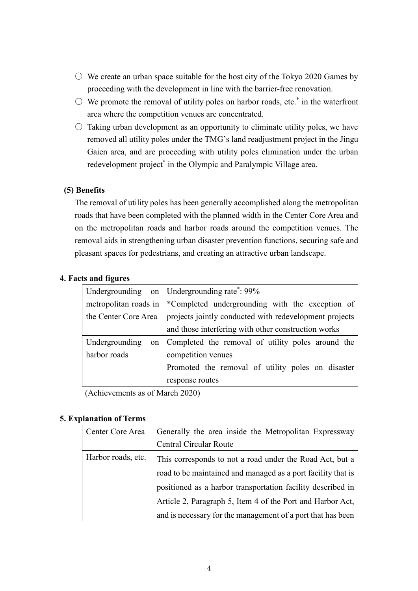- $\circlearrowright$  We create an urban space suitable for the host city of the Tokyo 2020 Games by proceeding with the development in line with the barrier-free renovation.
- $\circlearrowright$  We promote the removal of utility poles on harbor roads, etc.<sup>\*</sup> in the waterfront area where the competition venues are concentrated.
- $\circ$  Taking urban development as an opportunity to eliminate utility poles, we have removed all utility poles under the TMG's land readjustment project in the Jingu Gaien area, and are proceeding with utility poles elimination under the urban redevelopment project<sup>\*</sup> in the Olympic and Paralympic Village area.

# **(5) Benefits**

The removal of utility poles has been generally accomplished along the metropolitan roads that have been completed with the planned width in the Center Core Area and on the metropolitan roads and harbor roads around the competition venues. The removal aids in strengthening urban disaster prevention functions, securing safe and pleasant spaces for pedestrians, and creating an attractive urban landscape.

### **4. Facts and figures**

|                       | Undergrounding on Undergrounding rate <sup>*</sup> : 99% |
|-----------------------|----------------------------------------------------------|
| metropolitan roads in | *Completed undergrounding with the exception of          |
| the Center Core Area  | projects jointly conducted with redevelopment projects   |
|                       | and those interfering with other construction works      |
| Undergrounding<br>on  | Completed the removal of utility poles around the        |
| harbor roads          | competition venues                                       |
|                       | Promoted the removal of utility poles on disaster        |
|                       | response routes                                          |

(Achievements as of March 2020)

### **5. Explanation of Terms**

| Center Core Area   | Generally the area inside the Metropolitan Expressway        |
|--------------------|--------------------------------------------------------------|
|                    | <b>Central Circular Route</b>                                |
| Harbor roads, etc. | This corresponds to not a road under the Road Act, but a     |
|                    | road to be maintained and managed as a port facility that is |
|                    | positioned as a harbor transportation facility described in  |
|                    | Article 2, Paragraph 5, Item 4 of the Port and Harbor Act,   |
|                    | and is necessary for the management of a port that has been  |